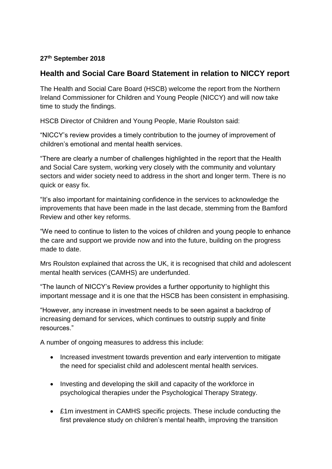## **27th September 2018**

## **Health and Social Care Board Statement in relation to NICCY report**

The Health and Social Care Board (HSCB) welcome the report from the Northern Ireland Commissioner for Children and Young People (NICCY) and will now take time to study the findings.

HSCB Director of Children and Young People, Marie Roulston said:

"NICCY's review provides a timely contribution to the journey of improvement of children's emotional and mental health services.

"There are clearly a number of challenges highlighted in the report that the Health and Social Care system, working very closely with the community and voluntary sectors and wider society need to address in the short and longer term. There is no quick or easy fix.

"It's also important for maintaining confidence in the services to acknowledge the improvements that have been made in the last decade, stemming from the Bamford Review and other key reforms.

"We need to continue to listen to the voices of children and young people to enhance the care and support we provide now and into the future, building on the progress made to date.

Mrs Roulston explained that across the UK, it is recognised that child and adolescent mental health services (CAMHS) are underfunded.

"The launch of NICCY's Review provides a further opportunity to highlight this important message and it is one that the HSCB has been consistent in emphasising.

"However, any increase in investment needs to be seen against a backdrop of increasing demand for services, which continues to outstrip supply and finite resources."

A number of ongoing measures to address this include:

- Increased investment towards prevention and early intervention to mitigate the need for specialist child and adolescent mental health services.
- Investing and developing the skill and capacity of the workforce in psychological therapies under the Psychological Therapy Strategy.
- £1m investment in CAMHS specific projects. These include conducting the first prevalence study on children's mental health, improving the transition